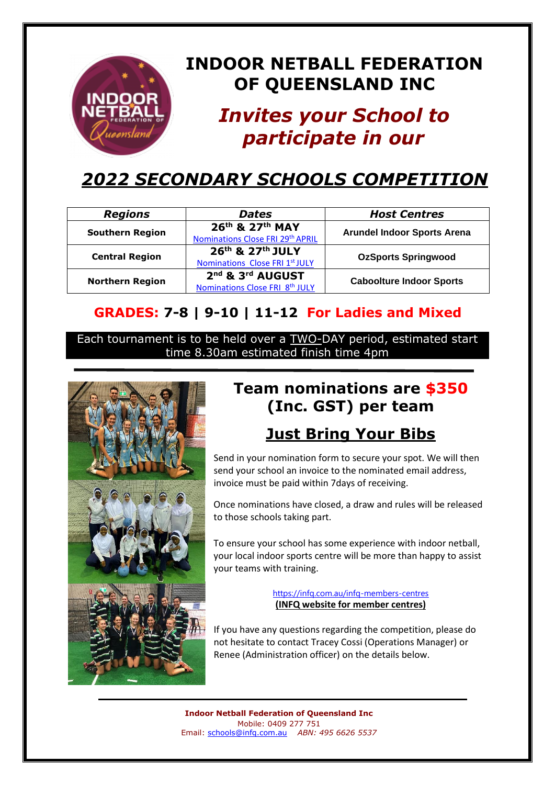### **INDOOR NETBALL FEDERATION OF QUEENSLAND INC**

# *Invites your School to participate in our*

## *2022 SECONDARY SCHOOLS COMPETITION*

| <b>Regions</b>         | <b>Dates</b>                     | <b>Host Centres</b>                |
|------------------------|----------------------------------|------------------------------------|
| <b>Southern Region</b> | 26th & 27th MAY                  | <b>Arundel Indoor Sports Arena</b> |
|                        | Nominations Close FRI 29th APRIL |                                    |
| <b>Central Region</b>  | 26th & 27th JULY                 | <b>OzSports Springwood</b>         |
|                        | Nominations Close FRI 1st JULY   |                                    |
| <b>Northern Region</b> | 2nd & 3rd AUGUST                 |                                    |
|                        | Nominations Close FRI 8th JULY   | <b>Caboolture Indoor Sports</b>    |

#### **GRADES: 7-8 | 9-10 | 11-12 For Ladies and Mixed**

Each tournament is to be held over a TWO-DAY period, estimated start time 8.30am estimated finish time 4pm



## **Team nominations are \$350 (Inc. GST) per team**

### **Just Bring Your Bibs**

Send in your nomination form to secure your spot. We will then send your school an invoice to the nominated email address, invoice must be paid within 7days of receiving.

Once nominations have closed, a draw and rules will be released to those schools taking part.

To ensure your school has some experience with indoor netball, your local indoor sports centre will be more than happy to assist your teams with training.

> <https://infq.com.au/infq-members-centres> **(INFQ website for member centres)**

If you have any questions regarding the competition, please do not hesitate to contact Tracey Cossi (Operations Manager) or Renee (Administration officer) on the details below.